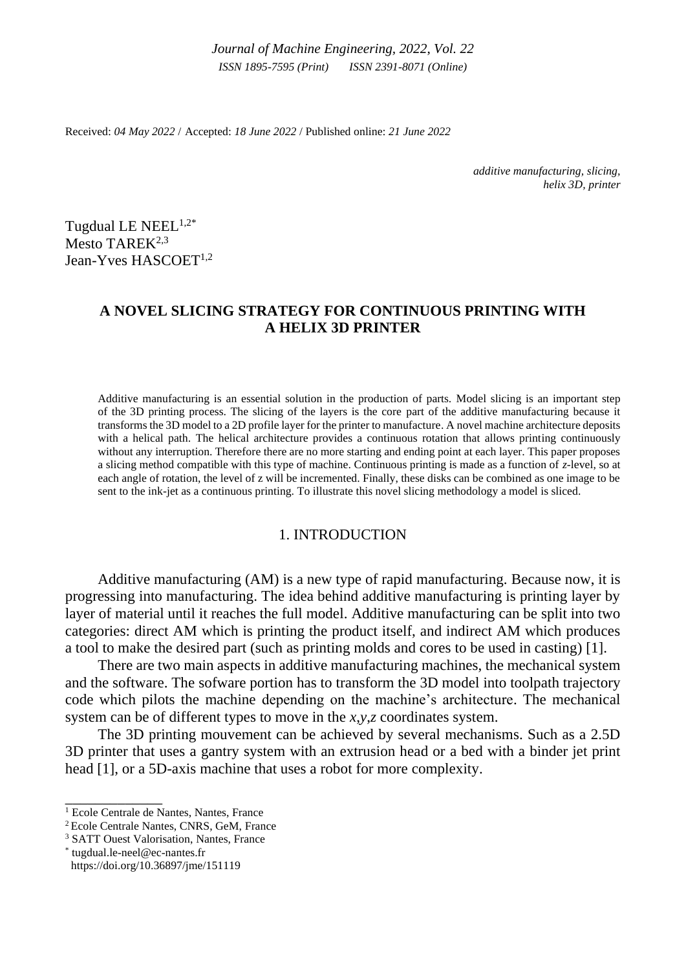*Journal of Machine Engineering, 2022*, *Vol. 22 ISSN 1895-7595 (Print) ISSN 2391-8071 (Online)*

Received: *04 May 2022* / Accepted: *18 June 2022* / Published online: *21 June 2022*

*additive manufacturing, slicing, helix 3D, printer*

Tugdual LE NEEL $1,2^*$ Mesto TAREK<sup>2,3</sup> Jean-Yves HASCOET<sup>1,2</sup>

# **A NOVEL SLICING STRATEGY FOR CONTINUOUS PRINTING WITH A HELIX 3D PRINTER**

Additive manufacturing is an essential solution in the production of parts. Model slicing is an important step of the 3D printing process. The slicing of the layers is the core part of the additive manufacturing because it transforms the 3D model to a 2D profile layer for the printer to manufacture. A novel machine architecture deposits with a helical path. The helical architecture provides a continuous rotation that allows printing continuously without any interruption. Therefore there are no more starting and ending point at each layer. This paper proposes a slicing method compatible with this type of machine. Continuous printing is made as a function of *z*-level, so at each angle of rotation, the level of z will be incremented. Finally, these disks can be combined as one image to be sent to the ink-jet as a continuous printing. To illustrate this novel slicing methodology a model is sliced.

#### 1. INTRODUCTION

Additive manufacturing (AM) is a new type of rapid manufacturing. Because now, it is progressing into manufacturing. The idea behind additive manufacturing is printing layer by layer of material until it reaches the full model. Additive manufacturing can be split into two categories: direct AM which is printing the product itself, and indirect AM which produces a tool to make the desired part (such as printing molds and cores to be used in casting) [1].

There are two main aspects in additive manufacturing machines, the mechanical system and the software. The sofware portion has to transform the 3D model into toolpath trajectory code which pilots the machine depending on the machine's architecture. The mechanical system can be of different types to move in the *x*,*y*,*z* coordinates system.

The 3D printing mouvement can be achieved by several mechanisms. Such as a 2.5D 3D printer that uses a gantry system with an extrusion head or a bed with a binder jet print head [1], or a 5D-axis machine that uses a robot for more complexity.

\_\_\_\_\_\_\_\_\_\_\_\_\_

<sup>&</sup>lt;sup>1</sup> Ecole Centrale de Nantes, Nantes, France

<sup>2</sup> Ecole Centrale Nantes, CNRS, GeM, France

<sup>3</sup> SATT Ouest Valorisation, Nantes, France

<sup>\*</sup> [tugdual.le-neel@ec-nantes.fr](mailto:tugdual.le-neel@ec-nantes.fr) https://doi.org/10.36897/jme/151119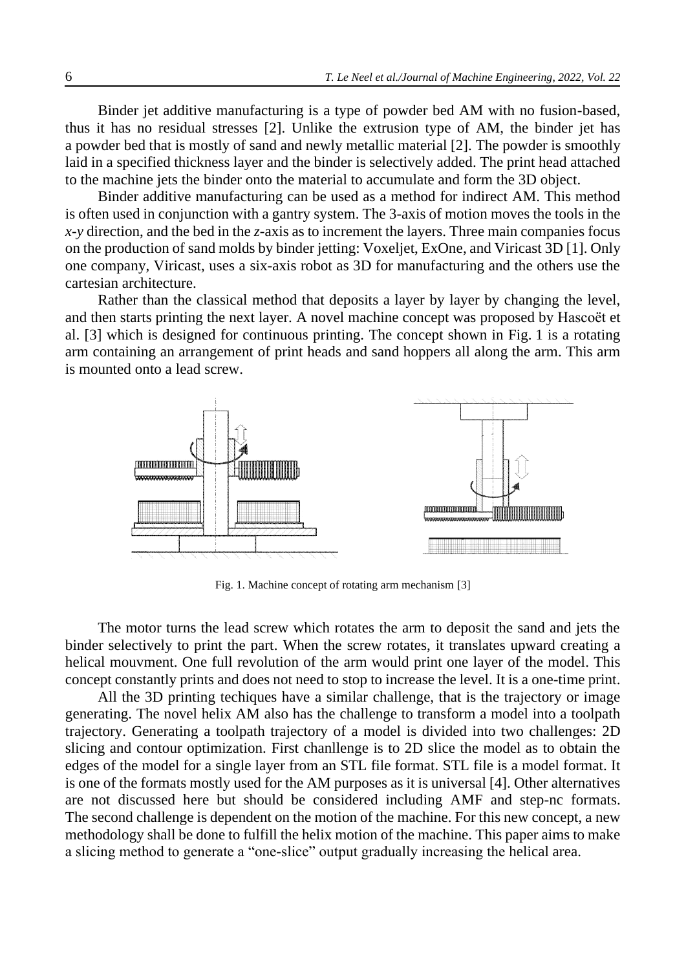Binder jet additive manufacturing is a type of powder bed AM with no fusion-based, thus it has no residual stresses [2]. Unlike the extrusion type of AM, the binder jet has a powder bed that is mostly of sand and newly metallic material [2]. The powder is smoothly laid in a specified thickness layer and the binder is selectively added. The print head attached to the machine jets the binder onto the material to accumulate and form the 3D object.

Binder additive manufacturing can be used as a method for indirect AM. This method is often used in conjunction with a gantry system. The 3-axis of motion moves the tools in the *x*-*y* direction, and the bed in the *z*-axis as to increment the layers. Three main companies focus on the production of sand molds by binder jetting: Voxeljet, ExOne, and Viricast 3D [1]. Only one company, Viricast, uses a six-axis robot as 3D for manufacturing and the others use the cartesian architecture.

Rather than the classical method that deposits a layer by layer by changing the level, and then starts printing the next layer. A novel machine concept was proposed by Hascoët et al. [3] which is designed for continuous printing. The concept shown in Fig. 1 is a rotating arm containing an arrangement of print heads and sand hoppers all along the arm. This arm is mounted onto a lead screw.



Fig. 1. Machine concept of rotating arm mechanism [3]

The motor turns the lead screw which rotates the arm to deposit the sand and jets the binder selectively to print the part. When the screw rotates, it translates upward creating a helical mouvment. One full revolution of the arm would print one layer of the model. This concept constantly prints and does not need to stop to increase the level. It is a one-time print.

All the 3D printing techiques have a similar challenge, that is the trajectory or image generating. The novel helix AM also has the challenge to transform a model into a toolpath trajectory. Generating a toolpath trajectory of a model is divided into two challenges: 2D slicing and contour optimization. First chanllenge is to 2D slice the model as to obtain the edges of the model for a single layer from an STL file format. STL file is a model format. It is one of the formats mostly used for the AM purposes as it is universal [4]. Other alternatives are not discussed here but should be considered including AMF and step-nc formats. The second challenge is dependent on the motion of the machine. For this new concept, a new methodology shall be done to fulfill the helix motion of the machine. This paper aims to make a slicing method to generate a "one-slice" output gradually increasing the helical area.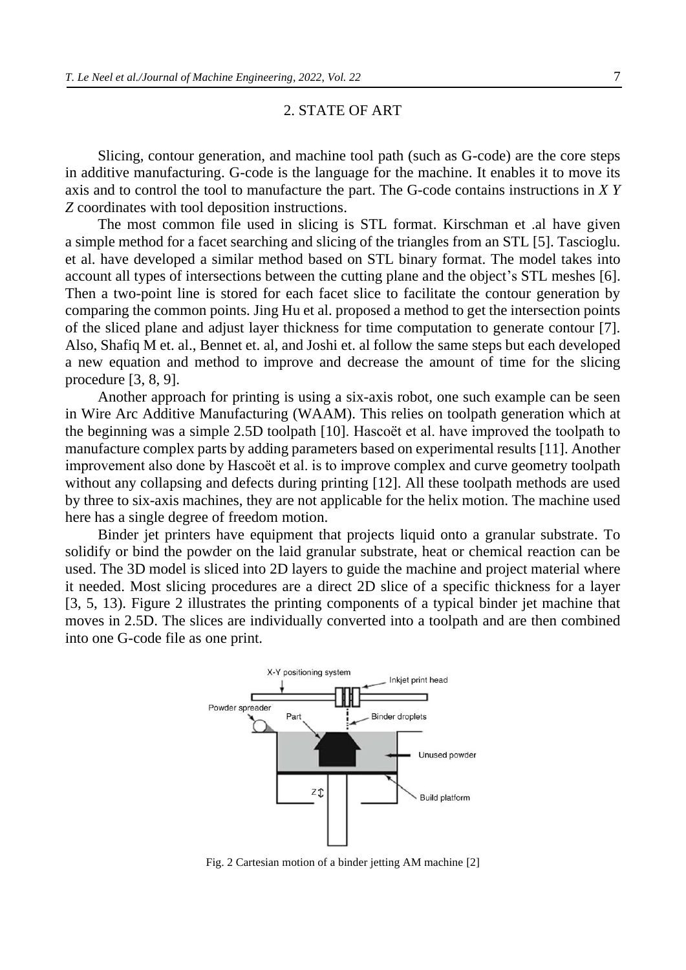#### 2. STATE OF ART

Slicing, contour generation, and machine tool path (such as G-code) are the core steps in additive manufacturing. G-code is the language for the machine. It enables it to move its axis and to control the tool to manufacture the part. The G-code contains instructions in *X Y Z* coordinates with tool deposition instructions.

The most common file used in slicing is STL format. Kirschman et .al have given a simple method for a facet searching and slicing of the triangles from an STL [5]. Tascioglu. et al. have developed a similar method based on STL binary format. The model takes into account all types of intersections between the cutting plane and the object's STL meshes [6]. Then a two-point line is stored for each facet slice to facilitate the contour generation by comparing the common points. Jing Hu et al. proposed a method to get the intersection points of the sliced plane and adjust layer thickness for time computation to generate contour [7]. Also, Shafiq M et. al., Bennet et. al, and Joshi et. al follow the same steps but each developed a new equation and method to improve and decrease the amount of time for the slicing procedure [3, 8, 9].

Another approach for printing is using a six-axis robot, one such example can be seen in Wire Arc Additive Manufacturing (WAAM). This relies on toolpath generation which at the beginning was a simple 2.5D toolpath [10]. Hascoët et al. have improved the toolpath to manufacture complex parts by adding parameters based on experimental results [11]. Another improvement also done by Hascoët et al. is to improve complex and curve geometry toolpath without any collapsing and defects during printing [12]. All these toolpath methods are used by three to six-axis machines, they are not applicable for the helix motion. The machine used here has a single degree of freedom motion.

Binder jet printers have equipment that projects liquid onto a granular substrate. To solidify or bind the powder on the laid granular substrate, heat or chemical reaction can be used. The 3D model is sliced into 2D layers to guide the machine and project material where it needed. Most slicing procedures are a direct 2D slice of a specific thickness for a layer [3, 5, 13). Figure 2 illustrates the printing components of a typical binder jet machine that moves in 2.5D. The slices are individually converted into a toolpath and are then combined into one G-code file as one print.



Fig. 2 Cartesian motion of a binder jetting AM machine [2]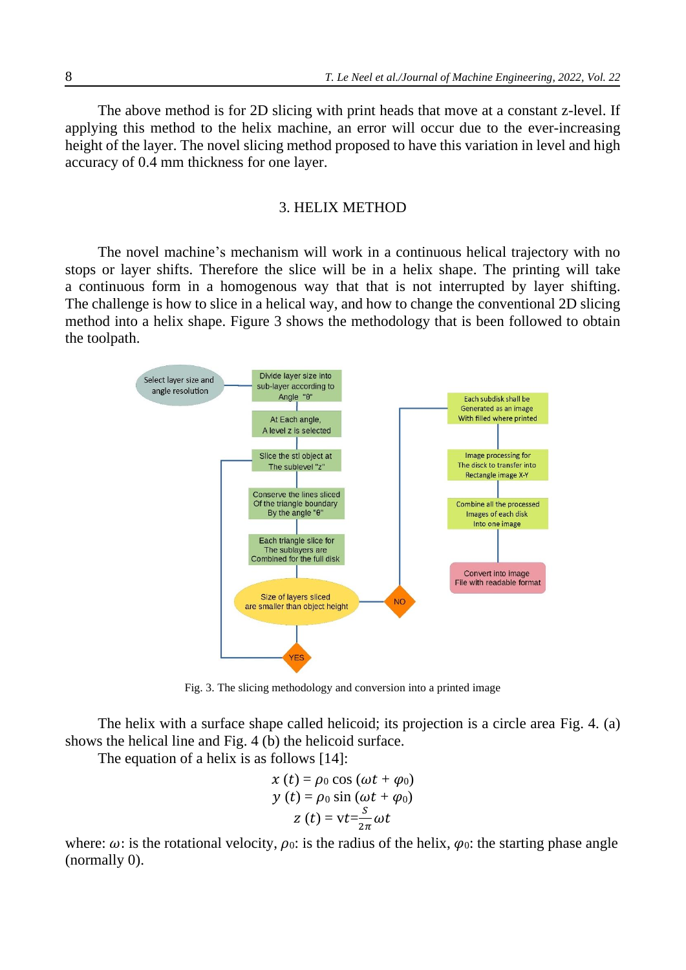The above method is for 2D slicing with print heads that move at a constant z-level. If applying this method to the helix machine, an error will occur due to the ever-increasing height of the layer. The novel slicing method proposed to have this variation in level and high accuracy of 0.4 mm thickness for one layer.

#### 3. HELIX METHOD

The novel machine's mechanism will work in a continuous helical trajectory with no stops or layer shifts. Therefore the slice will be in a helix shape. The printing will take a continuous form in a homogenous way that that is not interrupted by layer shifting. The challenge is how to slice in a helical way, and how to change the conventional 2D slicing method into a helix shape. Figure 3 shows the methodology that is been followed to obtain the toolpath.



Fig. 3. The slicing methodology and conversion into a printed image

The helix with a surface shape called helicoid; its projection is a circle area Fig. 4. (a) shows the helical line and Fig. 4 (b) the helicoid surface.

The equation of a helix is as follows [14]:

$$
x(t) = \rho_0 \cos(\omega t + \varphi_0)
$$
  
\n
$$
y(t) = \rho_0 \sin(\omega t + \varphi_0)
$$
  
\n
$$
z(t) = vt - \frac{s}{2\pi} \omega t
$$

where:  $\omega$ : is the rotational velocity,  $\rho_0$ : is the radius of the helix,  $\varphi_0$ : the starting phase angle (normally 0).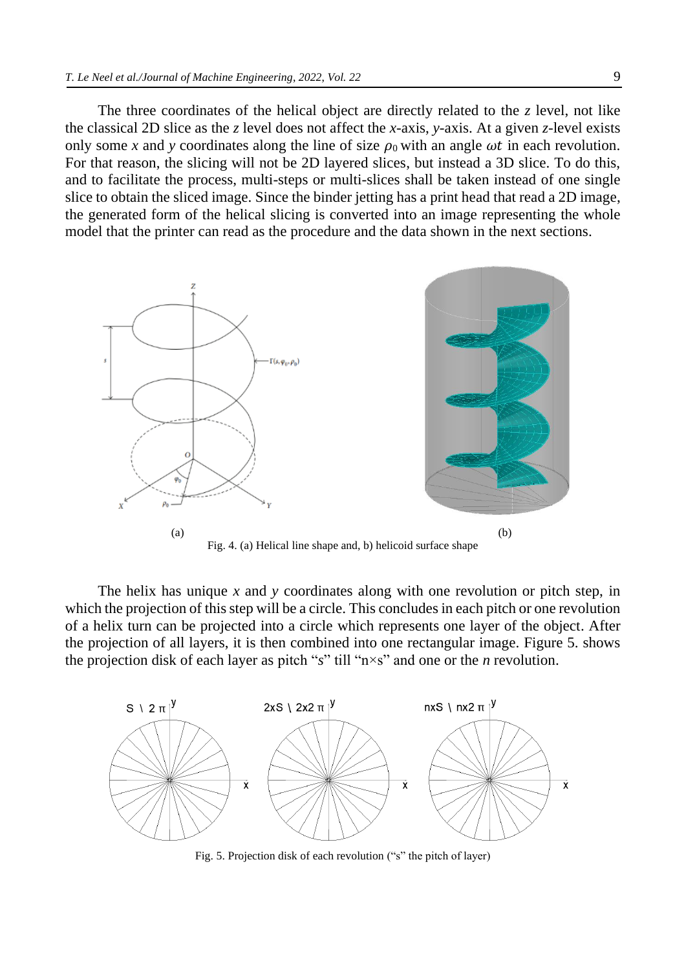The three coordinates of the helical object are directly related to the  $\zeta$  level, not like the classical 2D slice as the *z* level does not affect the *x*-axis, *y*-axis. At a given *z*-level exists only some x and y coordinates along the line of size  $\rho_0$  with an angle  $\omega t$  in each revolution. For that reason, the slicing will not be 2D layered slices, but instead a 3D slice. To do this, and to facilitate the process, multi-steps or multi-slices shall be taken instead of one single slice to obtain the sliced image. Since the binder jetting has a print head that read a 2D image, the generated form of the helical slicing is converted into an image representing the whole model that the printer can read as the procedure and the data shown in the next sections.



The helix has unique *x* and *y* coordinates along with one revolution or pitch step, in which the projection of this step will be a circle. This concludes in each pitch or one revolution of a helix turn can be projected into a circle which represents one layer of the object. After the projection of all layers, it is then combined into one rectangular image. Figure 5. shows the projection disk of each layer as pitch "*s*" till "n×s" and one or the *n* revolution.



Fig. 5. Projection disk of each revolution ("s" the pitch of layer)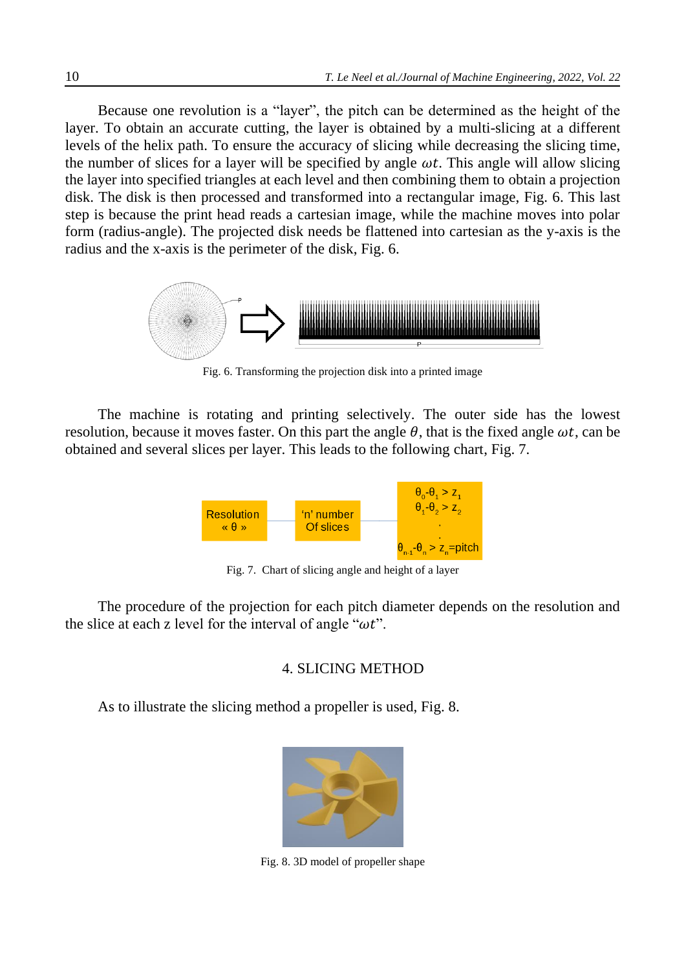Because one revolution is a "layer", the pitch can be determined as the height of the layer. To obtain an accurate cutting, the layer is obtained by a multi-slicing at a different levels of the helix path. To ensure the accuracy of slicing while decreasing the slicing time, the number of slices for a layer will be specified by angle  $\omega t$ . This angle will allow slicing the layer into specified triangles at each level and then combining them to obtain a projection disk. The disk is then processed and transformed into a rectangular image, Fig. 6. This last step is because the print head reads a cartesian image, while the machine moves into polar form (radius-angle). The projected disk needs be flattened into cartesian as the y-axis is the radius and the x-axis is the perimeter of the disk, Fig. 6.



Fig. 6. Transforming the projection disk into a printed image

The machine is rotating and printing selectively. The outer side has the lowest resolution, because it moves faster. On this part the angle  $\theta$ , that is the fixed angle  $\omega t$ , can be obtained and several slices per layer. This leads to the following chart, Fig. 7.



Fig. 7. Chart of slicing angle and height of a layer

The procedure of the projection for each pitch diameter depends on the resolution and the slice at each z level for the interval of angle " $\omega t$ ".

### 4. SLICING METHOD

As to illustrate the slicing method a propeller is used, Fig. 8.



Fig. 8. 3D model of propeller shape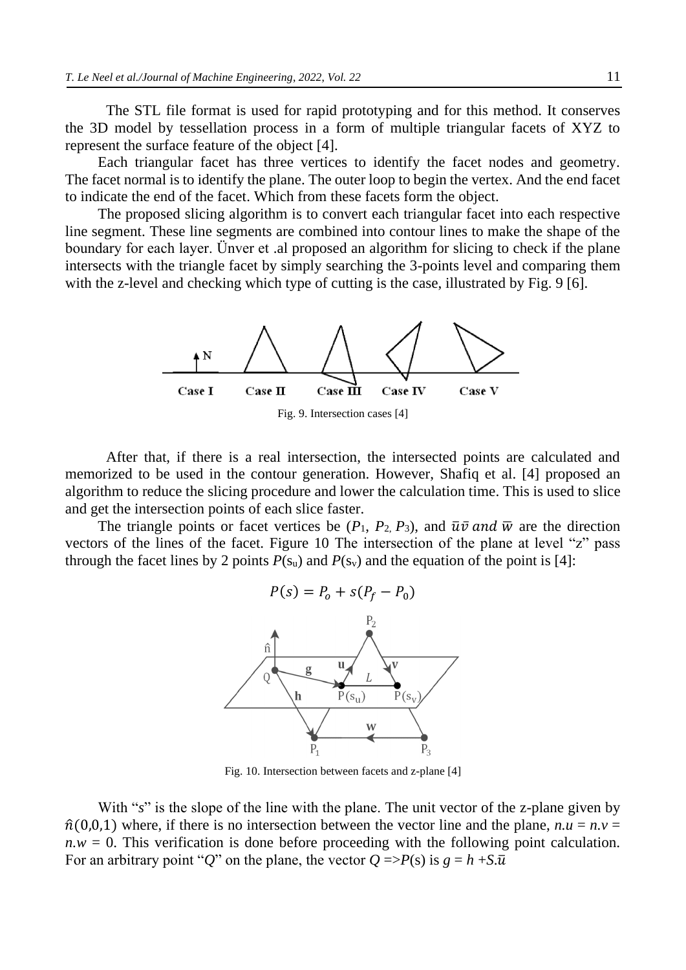The STL file format is used for rapid prototyping and for this method. It conserves the 3D model by tessellation process in a form of multiple triangular facets of XYZ to represent the surface feature of the object [4].

Each triangular facet has three vertices to identify the facet nodes and geometry. The facet normal is to identify the plane. The outer loop to begin the vertex. And the end facet to indicate the end of the facet. Which from these facets form the object.

The proposed slicing algorithm is to convert each triangular facet into each respective line segment. These line segments are combined into contour lines to make the shape of the boundary for each layer. Ünver et .al proposed an algorithm for slicing to check if the plane intersects with the triangle facet by simply searching the 3-points level and comparing them with the z-level and checking which type of cutting is the case, illustrated by Fig. 9 [6].



After that, if there is a real intersection, the intersected points are calculated and memorized to be used in the contour generation. However, Shafiq et al. [4] proposed an algorithm to reduce the slicing procedure and lower the calculation time. This is used to slice and get the intersection points of each slice faster.

The triangle points or facet vertices be  $(P_1, P_2, P_3)$ , and  $\overline{u}\overline{v}$  and  $\overline{w}$  are the direction vectors of the lines of the facet. Figure 10 The intersection of the plane at level "z" pass through the facet lines by 2 points  $P(s_u)$  and  $P(s_v)$  and the equation of the point is [4]:



Fig. 10. Intersection between facets and z-plane [4]

With "*s*" is the slope of the line with the plane. The unit vector of the z-plane given by  $\hat{n}(0,0,1)$  where, if there is no intersection between the vector line and the plane,  $n.u = n.v =$  $n.w = 0$ . This verification is done before proceeding with the following point calculation. For an arbitrary point "*Q*" on the plane, the vector  $Q \Rightarrow P(s)$  is  $g = h + S \cdot \overline{u}$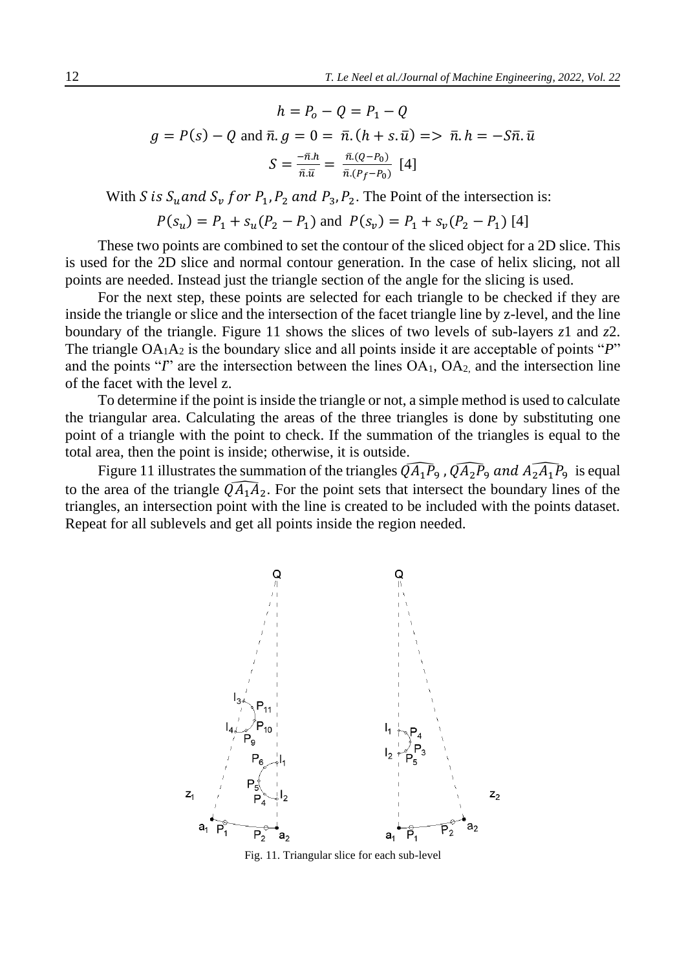$$
h = P_0 - Q = P_1 - Q
$$
  

$$
g = P(s) - Q \text{ and } \bar{n}. g = 0 = \bar{n}. (h + s. \bar{u}) \implies \bar{n}. h = -S\bar{n}. \bar{u}
$$
  

$$
S = \frac{-\bar{n}.h}{\bar{n}.\bar{u}} = \frac{\bar{n}.(Q - P_0)}{\bar{n}.(P_f - P_0)} \text{ [4]}
$$

With S is  $S_u$  and  $S_v$  for  $P_1$ ,  $P_2$  and  $P_3$ ,  $P_2$ . The Point of the intersection is:

 $P(s_u) = P_1 + s_u(P_2 - P_1)$  and  $P(s_v) = P_1 + s_v(P_2 - P_1)$  [4]

These two points are combined to set the contour of the sliced object for a 2D slice. This is used for the 2D slice and normal contour generation. In the case of helix slicing, not all points are needed. Instead just the triangle section of the angle for the slicing is used.

For the next step, these points are selected for each triangle to be checked if they are inside the triangle or slice and the intersection of the facet triangle line by z-level, and the line boundary of the triangle. Figure 11 shows the slices of two levels of sub-layers *z*1 and *z*2. The triangle OA<sub>1</sub>A<sub>2</sub> is the boundary slice and all points inside it are acceptable of points "*P*" and the points "*I*" are the intersection between the lines OA<sub>1</sub>, OA<sub>2</sub>, and the intersection line of the facet with the level z.

To determine if the point is inside the triangle or not, a simple method is used to calculate the triangular area. Calculating the areas of the three triangles is done by substituting one point of a triangle with the point to check. If the summation of the triangles is equal to the total area, then the point is inside; otherwise, it is outside.

Figure 11 illustrates the summation of the triangles  $\widehat{QA_1P_9}$ ,  $\widehat{QA_2P_9}$  and  $\widehat{AA_2A_1P_9}$  is equal to the area of the triangle  $\widehat{QA_1A_2}$ . For the point sets that intersect the boundary lines of the triangles, an intersection point with the line is created to be included with the points dataset. Repeat for all sublevels and get all points inside the region needed.



Fig. 11. Triangular slice for each sub-level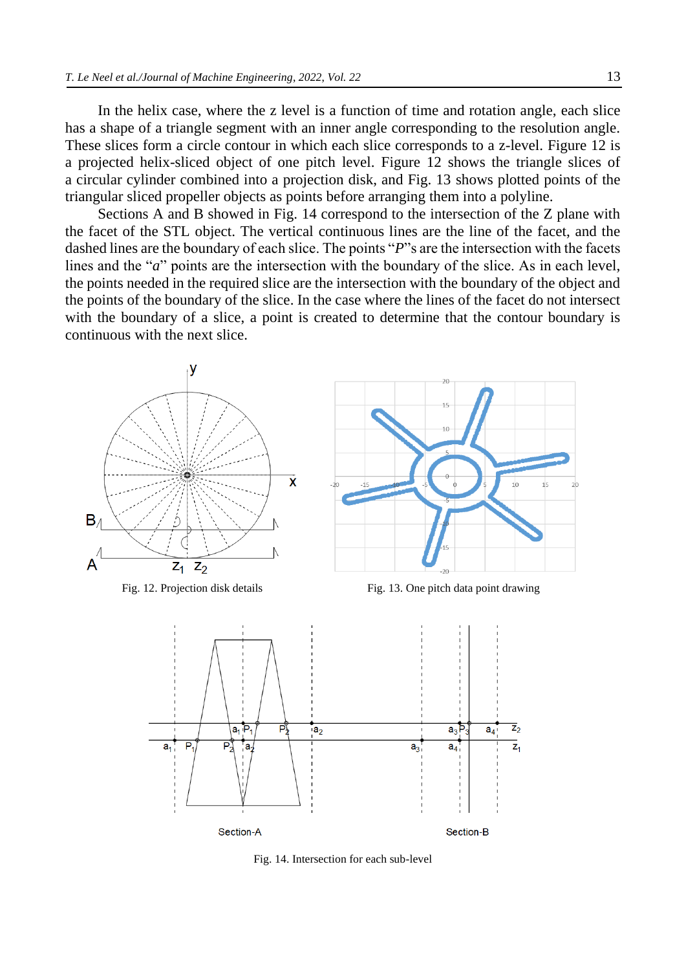In the helix case, where the z level is a function of time and rotation angle, each slice has a shape of a triangle segment with an inner angle corresponding to the resolution angle. These slices form a circle contour in which each slice corresponds to a z-level. Figure 12 is a projected helix-sliced object of one pitch level. Figure 12 shows the triangle slices of a circular cylinder combined into a projection disk, and Fig. 13 shows plotted points of the triangular sliced propeller objects as points before arranging them into a polyline.

Sections A and B showed in Fig. 14 correspond to the intersection of the Z plane with the facet of the STL object. The vertical continuous lines are the line of the facet, and the dashed lines are the boundary of each slice. The points "*P*" sare the intersection with the facets lines and the "*a*" points are the intersection with the boundary of the slice. As in each level, the points needed in the required slice are the intersection with the boundary of the object and the points of the boundary of the slice. In the case where the lines of the facet do not intersect with the boundary of a slice, a point is created to determine that the contour boundary is continuous with the next slice.





Fig. 12. Projection disk details Fig. 13. One pitch data point drawing



Fig. 14. Intersection for each sub-level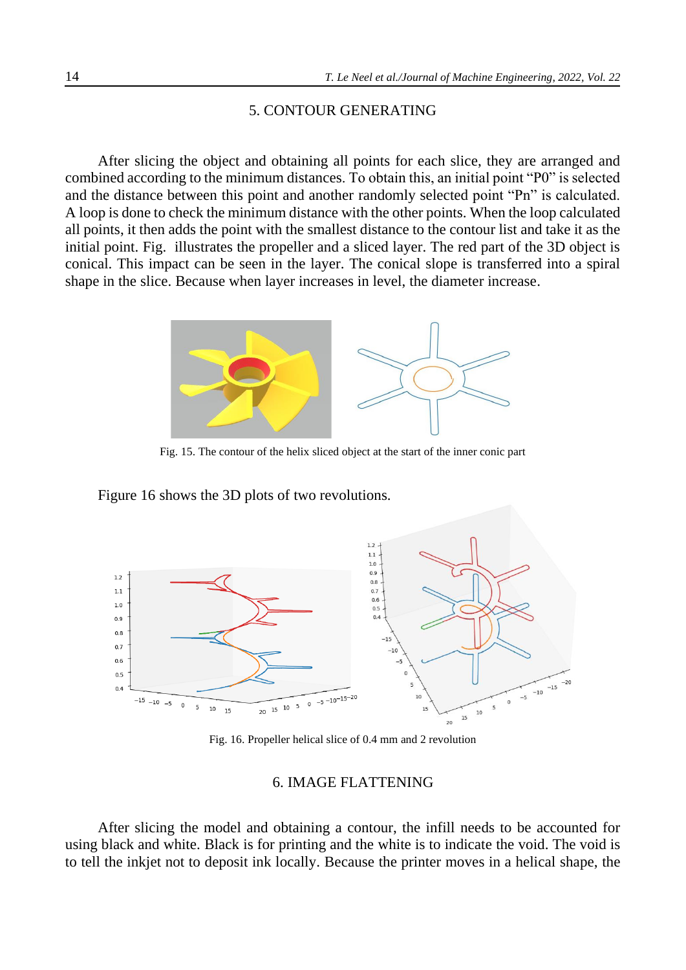## 5. CONTOUR GENERATING

After slicing the object and obtaining all points for each slice, they are arranged and combined according to the minimum distances. To obtain this, an initial point "P0" is selected and the distance between this point and another randomly selected point "Pn" is calculated. A loop is done to check the minimum distance with the other points. When the loop calculated all points, it then adds the point with the smallest distance to the contour list and take it as the initial point. [Fig.](#page-9-0) illustrates the propeller and a sliced layer. The red part of the 3D object is conical. This impact can be seen in the layer. The conical slope is transferred into a spiral shape in the slice. Because when layer increases in level, the diameter increase.



Fig. 15. The contour of the helix sliced object at the start of the inner conic part

<span id="page-9-0"></span>[Figu](#page-9-1)re 16 shows the 3D plots of two revolutions.



Fig. 16. Propeller helical slice of 0.4 mm and 2 revolution

## 6. IMAGE FLATTENING

<span id="page-9-1"></span>After slicing the model and obtaining a contour, the infill needs to be accounted for using black and white. Black is for printing and the white is to indicate the void. The void is to tell the inkjet not to deposit ink locally. Because the printer moves in a helical shape, the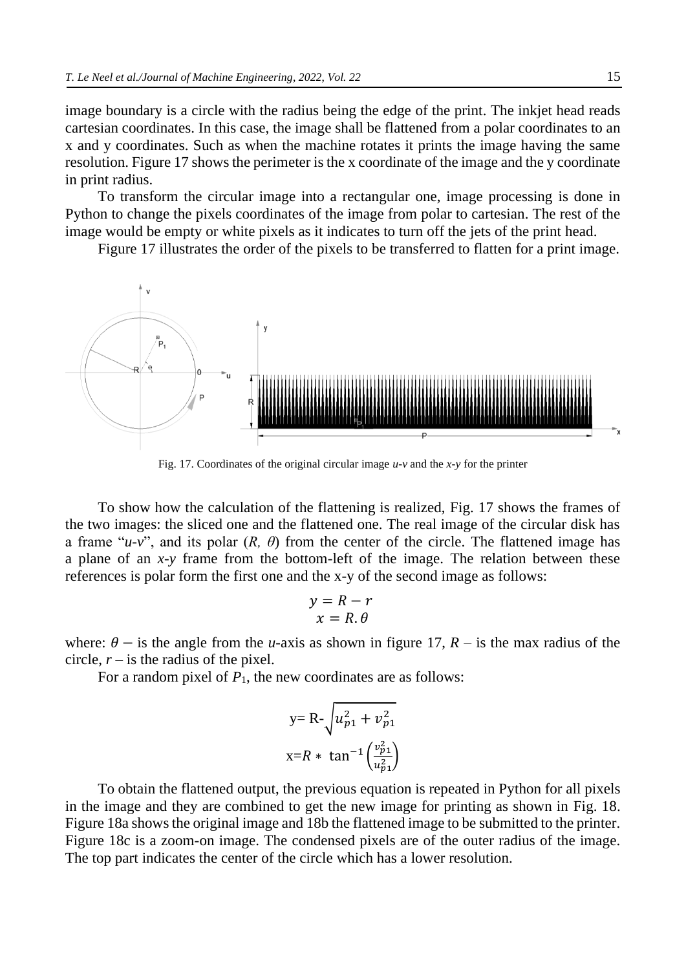image boundary is a circle with the radius being the edge of the print. The inkjet head reads cartesian coordinates. In this case, the image shall be flattened from a polar coordinates to an x and y coordinates. Such as when the machine rotates it prints the image having the same resolution. Figure 17 shows the perimeter is the x coordinate of the image and the y coordinate in print radius.

To transform the circular image into a rectangular one, image processing is done in Python to change the pixels coordinates of the image from polar to cartesian. The rest of the image would be empty or white pixels as it indicates to turn off the jets of the print head.

Figure 17 illustrates the order of the pixels to be transferred to flatten for a print image.



Fig. 17. Coordinates of the original circular image *u-v* and the *x-y* for the printer

To show how the calculation of the flattening is realized, Fig. 17 shows the frames of the two images: the sliced one and the flattened one. The real image of the circular disk has a frame " $u-v$ ", and its polar  $(R, \theta)$  from the center of the circle. The flattened image has a plane of an *x-y* frame from the bottom-left of the image. The relation between these references is polar form the first one and the x-y of the second image as follows:

$$
y = R - r
$$
  

$$
x = R.\theta
$$

where:  $\theta$  – is the angle from the *u*-axis as shown in figure 17, *R* – is the max radius of the circle,  $r -$  is the radius of the pixel.

For a random pixel of  $P_1$ , the new coordinates are as follows:

y=R-
$$
\sqrt{u_{p1}^2 + v_{p1}^2}
$$
  
x=R \* tan<sup>-1</sup> $\left(\frac{v_{p1}^2}{u_{p1}^2}\right)$ 

To obtain the flattened output, the previous equation is repeated in Python for all pixels in the image and they are combined to get the new image for printing as shown in Fig. 18. Figure 18a shows the original image and 18b the flattened image to be submitted to the printer. Figure 18c is a zoom-on image. The condensed pixels are of the outer radius of the image. The top part indicates the center of the circle which has a lower resolution.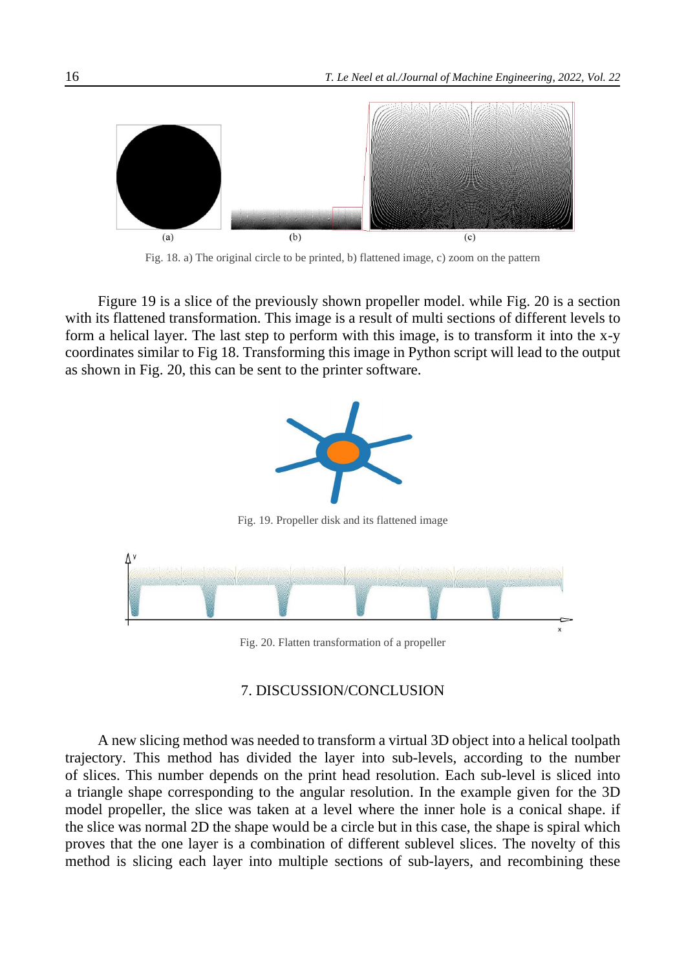

Fig. 18. a) The original circle to be printed, b) flattened image, c) zoom on the pattern

Figure 19 is a slice of the previously shown propeller model. while Fig. 20 is a section with its flattened transformation. This image is a result of multi sections of different levels to form a helical layer. The last step to perform with this image, is to transform it into the x-y coordinates similar to Fig 18. Transforming this image in Python script will lead to the output as shown in Fig. 20, this can be sent to the printer software.



## 7. DISCUSSION/CONCLUSION

A new slicing method was needed to transform a virtual 3D object into a helical toolpath trajectory. This method has divided the layer into sub-levels, according to the number of slices. This number depends on the print head resolution. Each sub-level is sliced into a triangle shape corresponding to the angular resolution. In the example given for the 3D model propeller, the slice was taken at a level where the inner hole is a conical shape. if the slice was normal 2D the shape would be a circle but in this case, the shape is spiral which proves that the one layer is a combination of different sublevel slices. The novelty of this method is slicing each layer into multiple sections of sub-layers, and recombining these